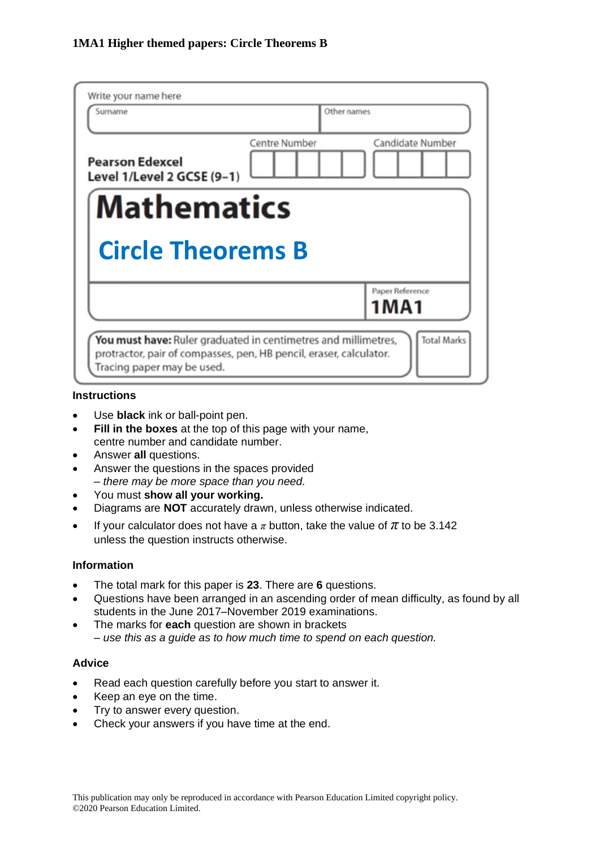| Write your name here<br>Surname                      | Other names          |                         |
|------------------------------------------------------|----------------------|-------------------------|
| <b>Pearson Edexcel</b><br>Level 1/Level 2 GCSE (9-1) | <b>Centre Number</b> | Candidate Number        |
| <b>Mathematics</b>                                   |                      |                         |
|                                                      |                      |                         |
| <b>Circle Theorems B</b>                             |                      |                         |
|                                                      |                      | Paper Reference<br>1MA1 |

#### **Instructions**

- Use **black** ink or ball-point pen.
- **Fill in the boxes** at the top of this page with your name, centre number and candidate number.
- Answer **all** questions.
- Answer the questions in the spaces provided *– there may be more space than you need.*
- You must **show all your working.**
- Diagrams are **NOT** accurately drawn, unless otherwise indicated.
- If your calculator does not have a  $\pi$  button, take the value of  $\pi$  to be 3.142 unless the question instructs otherwise.

### **Information**

- The total mark for this paper is **23**. There are **6** questions.
- Questions have been arranged in an ascending order of mean difficulty, as found by all students in the June 2017–November 2019 examinations.
- The marks for **each** question are shown in brackets *– use this as a guide as to how much time to spend on each question.*

### **Advice**

- Read each question carefully before you start to answer it.
- Keep an eye on the time.
- Try to answer every question.
- Check your answers if you have time at the end.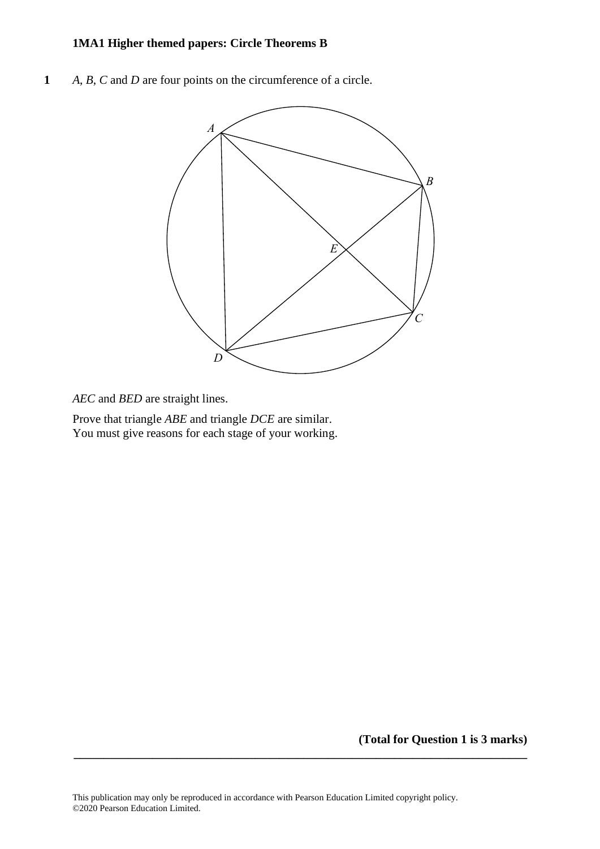# **1MA1 Higher themed papers: Circle Theorems B**

**1** *A*, *B*, *C* and *D* are four points on the circumference of a circle. **15** *A*, *B*, *C* and *D* are four points on the circumference of <sup>a</sup> circle.



*AEC* and *BED* are straight lines. *AEC* and *BED* are straight lines.

Prove that triangle *ABE* and triangle *DCE* are similar. You must give reasons for each stage of your working. Prove that triangle *ABE* and triangle *DCE* are similar. You must give reasons for each stage of your working.

**(Total for Question 1 is 3 marks)**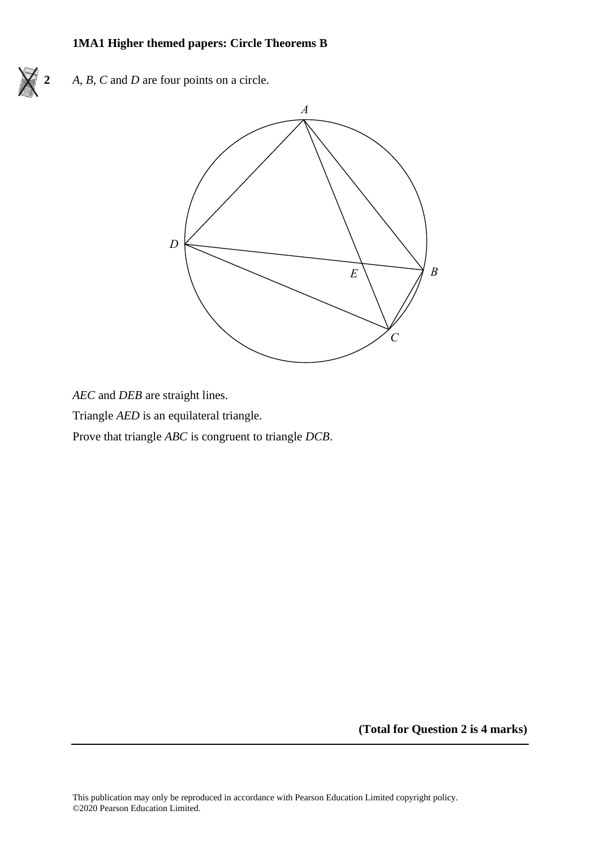### **1MA1 Higher themed papers: Circle Theorems B**



**2** *A*, *B*, *C* and *D* are four points on a circle. **22** *A*, *B*, *C* and *D* are four points on <sup>a</sup> circle.



*AEC* and *DEB* are straight lines.

Triangle *AED* is an equilateral triangle. Triangle *AED* is an equilateral triangle.

Prove that triangle *ABC* is congruent to triangle *DCB*. Prove that triangle *ABC* is congruen<sup>t</sup> to triangle *DCB*.

**(Total for Question 2 is 4 marks)**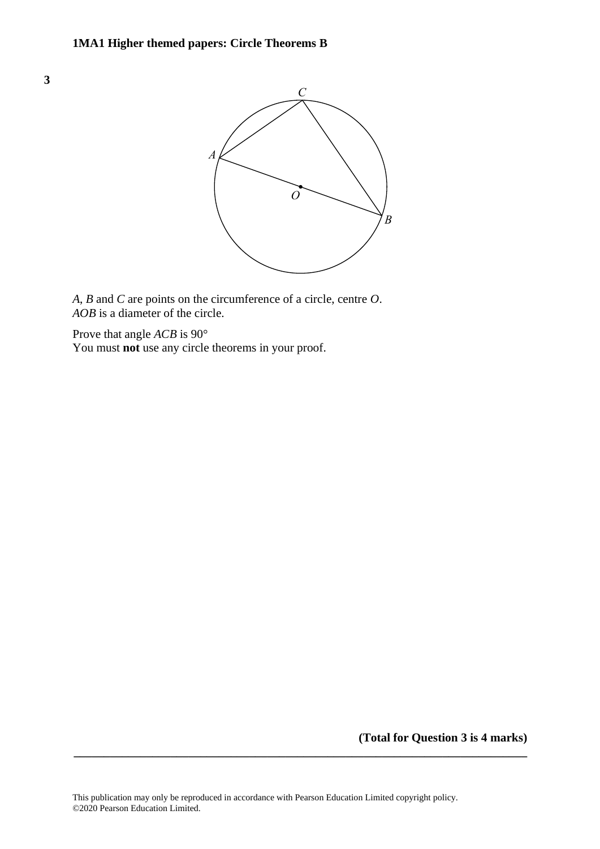

*A*, *B* and *C* are points on the circumference of a circle, centre *O*. *A B C O AOB* is a diameter of the circle. *AOB*

Prove that angle *ACB* is 90° You must not use any circle theorems in your proof.

**(Total for Question 3 is 4 marks)**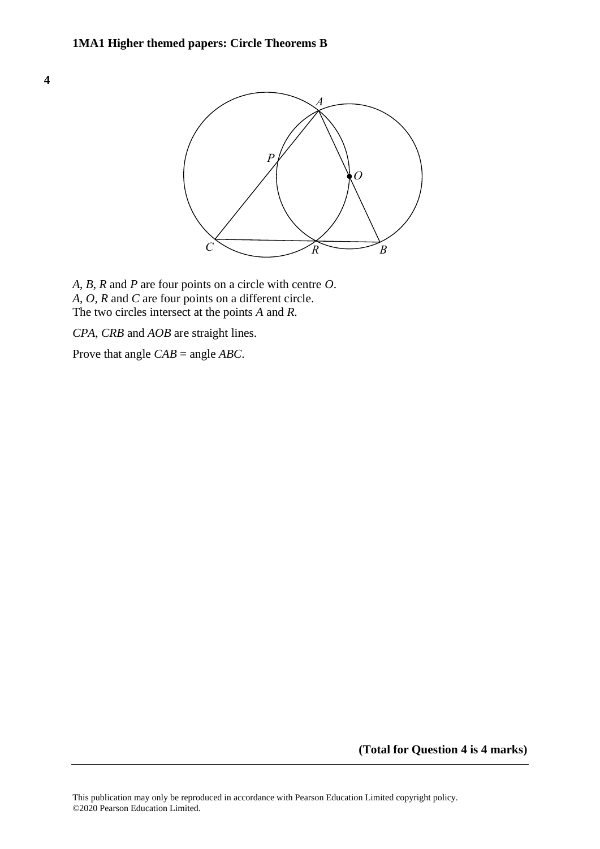**4 21**



*A*, *B*, *R* and *P* are four points on a circle with centre *O*. *A*, *B*, *R* and *P* are four points on <sup>a</sup> circle with centre *O*. *A*, *O*, *R* and *C* are four points on a different circle. *A*, *O*, *R* and *C* are four points on <sup>a</sup> different circle. The two circles intersect at the points *A* and *R*. The two circles intersect at the points *A* and *R*.

*CPA*, *CRB* and *AOB* are straight lines. *CPA*, *CRB* and *AOB* are straight lines.

Prove that angle *CAB* = angle *ABC*. Prove that angle *CAB* <sup>=</sup> angle *ABC*.

**(Total for Question 4 is 4 marks)**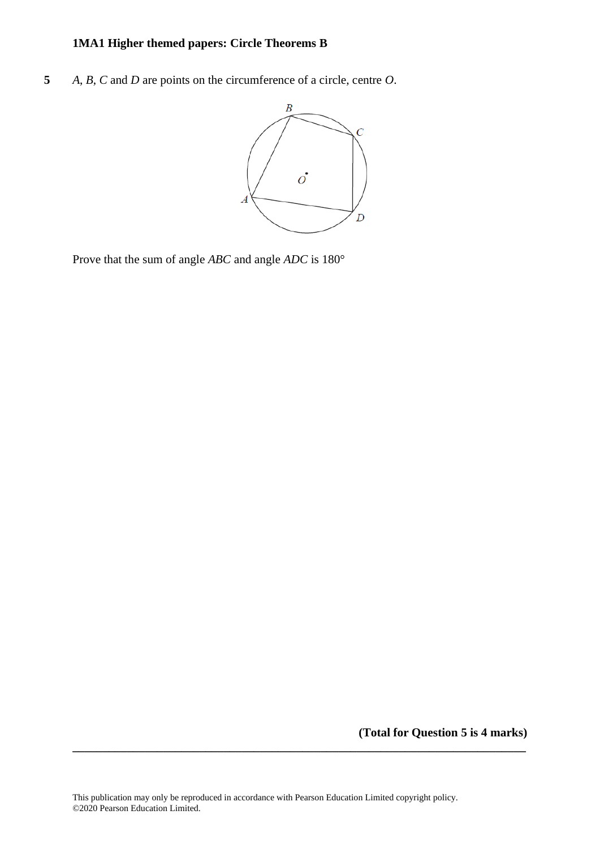# **1MA1 Higher themed papers: Circle Theorems B**

**5** *A*, *B*, *C* and *D* are points on the circumference of a circle, centre *O*.



Prove that the sum of angle *ABC* and angle *ADC* is 180°

**(Total for Question 5 is 4 marks)**